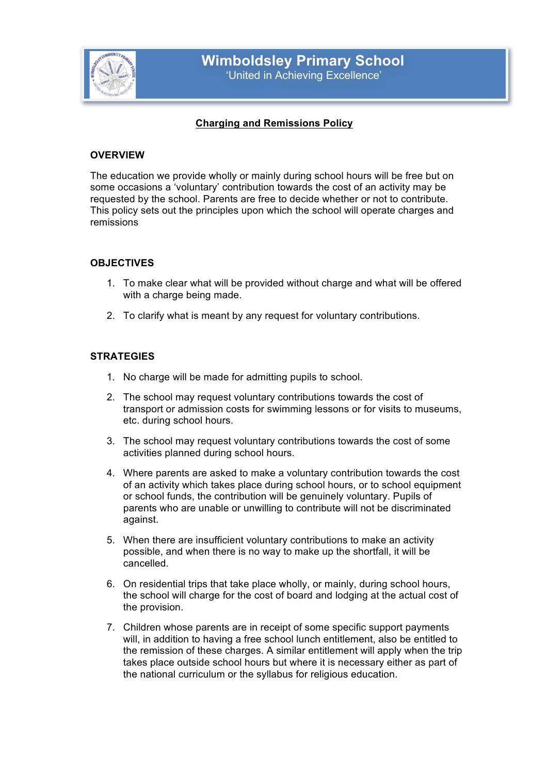

# **Charging and Remissions Policy**

#### **OVERVIEW**

The education we provide wholly or mainly during school hours will be free but on some occasions a 'voluntary' contribution towards the cost of an activity may be requested by the school. Parents are free to decide whether or not to contribute. This policy sets out the principles upon which the school will operate charges and remissions

## **OBJECTIVES**

- 1. To make clear what will be provided without charge and what will be offered with a charge being made.
- 2. To clarify what is meant by any request for voluntary contributions.

## **STRATEGIES**

- 1. No charge will be made for admitting pupils to school.
- 2. The school may request voluntary contributions towards the cost of transport or admission costs for swimming lessons or for visits to museums, etc. during school hours.
- 3. The school may request voluntary contributions towards the cost of some activities planned during school hours.
- 4. Where parents are asked to make a voluntary contribution towards the cost of an activity which takes place during school hours, or to school equipment or school funds, the contribution will be genuinely voluntary. Pupils of parents who are unable or unwilling to contribute will not be discriminated against.
- 5. When there are insufficient voluntary contributions to make an activity possible, and when there is no way to make up the shortfall, it will be cancelled.
- 6. On residential trips that take place wholly, or mainly, during school hours, the school will charge for the cost of board and lodging at the actual cost of the provision.
- 7. Children whose parents are in receipt of some specific support payments will, in addition to having a free school lunch entitlement, also be entitled to the remission of these charges. A similar entitlement will apply when the trip takes place outside school hours but where it is necessary either as part of the national curriculum or the syllabus for religious education.